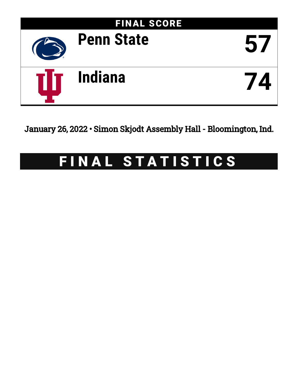

January 26, 2022 • Simon Skjodt Assembly Hall - Bloomington, Ind.

# FINAL STATISTICS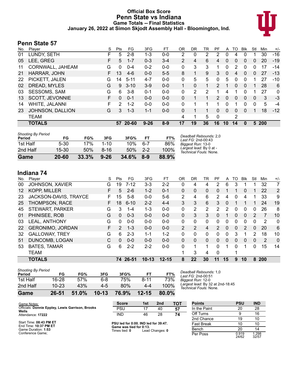### **Official Box Score Penn State vs Indiana Game Totals -- Final Statistics January 26, 2022 at Simon Skjodt Assembly Hall - Bloomington, Ind.**



### **Penn State 57**

| No. | Plaver                 | S  | Pts      | FG        | 3FG      | FT      | <b>OR</b>      | <b>DR</b> | TR | PF             | A            | TO | <b>B</b> lk  | Stl | Min   | $+/-$        |
|-----|------------------------|----|----------|-----------|----------|---------|----------------|-----------|----|----------------|--------------|----|--------------|-----|-------|--------------|
| 01  | LUNDY, SETH            | F  | 5        | $2 - 8$   | 1-3      | $0-0$   | $\overline{2}$ | 0         | 2  | $\overline{2}$ | 0            | 4  | 0            |     | 30    | $-16$        |
| 05  | LEE, GREG              | F. | 5        | $1 - 7$   | $0 - 3$  | $3 - 4$ | $\overline{2}$ | 4         | 6  | 4              | 0            | 0  | 0            | 0   | 20    | $-19$        |
| 11  | CORNWALL, JAHEAM       | G  | 0        | $0 - 4$   | $0 - 2$  | $0 - 0$ | 0              | 3         | 3  | 1              | 0            | 2  | 0            | 0   | 17    | $-14$        |
| 21  | HARRAR, JOHN           | F. | 13       | $4-6$     | $0 - 0$  | $5 - 5$ | 8              | 1         | 9  | 3              | $\mathbf{0}$ | 4  | $\mathbf{0}$ | 0   | 27    | $-13$        |
| 22  | PICKETT, JALEN         | G  | 14       | $5 - 11$  | $4 - 7$  | $0 - 0$ | 0              | 5         | 5  | 0              | 5            | 0  | 0            |     | 27    | $-10$        |
| 02  | DREAD, MYLES           | G  | 9        | $3 - 10$  | $3-9$    | $0 - 0$ |                | $\Omega$  |    | $\mathcal{P}$  |              | 0  | $\Omega$     |     | 28    | 6            |
| 03  | SESSOMS, SAM           | G  | 6        | $3 - 8$   | $0 - 1$  | $0 - 0$ | 0              | 2         | 2  |                | 4            |    | 0            |     | 27    | $\mathbf{0}$ |
| 13  | <b>SCOTT, JEVONNIE</b> | F. | $\Omega$ | $0 - 1$   | $0 - 0$  | $0 - 0$ | 0              |           |    | $\overline{2}$ | $\mathbf{0}$ | 0  | $\mathbf{0}$ | 0   | 3     | $-3$         |
| 14  | WHITE, JALANNI         | F  | 2        | $1 - 2$   | $0 - 0$  | $0 - 0$ | 0              |           |    |                | 0            |    | 0            | 0   | 5     | -4           |
| 23  | JOHNSON, DALLION       | G  | 3        | $1 - 3$   | $1 - 1$  | $0 - 0$ | 0              |           |    | 0              | $\Omega$     | 0  | $\Omega$     |     | 18    | $-12$        |
|     | <b>TEAM</b>            |    |          |           |          |         | 4              | 1         | 5  | $\Omega$       |              | 2  |              |     |       |              |
|     | <b>TOTALS</b>          |    | 57       | $20 - 60$ | $9 - 26$ | $8-9$   | 17             | 19        | 36 | 16             | 10           | 14 | $\bf{0}$     |     | 5 200 |              |

| Game                                | $20 - 60$ | 33.3% | $9 - 26$ | 34.6% | $8-9$     | 88.9% |                                                   |
|-------------------------------------|-----------|-------|----------|-------|-----------|-------|---------------------------------------------------|
| 2nd Half                            | $15-30$   | 50%   | $8-16$   | 50%   | $2 - 2$   | 100%  | Largest lead: By 0 at -<br>Technical Fouls: None. |
| 1st Half                            | $5-30$    | 17%   | $1 - 10$ | 10%   | .6-7      | 86%   | Biggest Run: 13-0                                 |
| <b>Shooting By Period</b><br>Period | FG        | FG%   | 3FG      | 3FG%  | <b>FT</b> | FT%   | Deadball Rebounds: 2,0<br>Last $FG: 2nd-00:43$    |

# **Indiana 74**

| No.               | Player                  | S  | Pts           | FG       | 3FG       | FT        | <b>OR</b>      | DR      | TR       | PF            | A        | TO | <b>B</b> lk   | Stl      | Min        | $+/-$        |
|-------------------|-------------------------|----|---------------|----------|-----------|-----------|----------------|---------|----------|---------------|----------|----|---------------|----------|------------|--------------|
| 00                | JOHNSON, XAVIER         | G  | 19            | $7 - 12$ | $3 - 3$   | $2 - 2$   | 0              | 4       | 4        | 2             | 6        | 3  |               |          | 32         | 7            |
| $12 \overline{ }$ | <b>KOPP, MILLER</b>     | F  | 5             | $2-6$    | $1 - 2$   | $0 - 1$   | $\Omega$       | 0       | 0        | 0             | 1        |    | 0             |          | 22         | 2            |
| 23                | JACKSON-DAVIS, TRAYCE   | F. | 15            | $5-8$    | $0 - 0$   | $5-6$     | 2              | 4       | 6        | 2             | 4        | 0  | 4             |          | 33         | 9            |
| 25                | <b>THOMPSON, RACE</b>   | F. | 18            | $6 - 10$ | $2 - 2$   | $4 - 4$   | 3              | 3       | 6        | 3             | $\Omega$ |    |               |          | 24         | 19           |
| 45                | STEWART, PARKER         | G  | 3             | $1 - 4$  | $1 - 3$   | $0 - 0$   | $\Omega$       | 2       | 2        | $\mathcal{P}$ | 2        | 0  | 0             | 0        | 26         | 8            |
| 01                | PHINISEE, ROB           | G  | $\Omega$      | $0 - 3$  | $0 - 0$   | $0 - 0$   | 0              | 3       | 3        | 0             | 1        | 0  | $\mathbf{0}$  | 2        | 7          | 10           |
| 03                | LEAL. ANTHONY           | G  | $\Omega$      | $0 - 0$  | $0 - 0$   | $0 - 0$   | 0              | 0       | 0        | 0             | 0        | 0  | 0             | 0        | 2          | $\mathbf{0}$ |
| 22                | <b>GERONIMO, JORDAN</b> | F. | $\mathcal{P}$ | $1 - 3$  | $0 - 0$   | $0 - 0$   | $\overline{2}$ | 2       | 4        | $\mathcal{P}$ | $\Omega$ | 0  | $\mathcal{P}$ | $\Omega$ | 20         | 6            |
| 32                | <b>GALLOWAY, TREY</b>   | G  | 6             | $2 - 3$  | $1 - 1$   | $1 - 2$   | 0              | 0       | 0        | 0             | 0        | 3  |               | 2        | 18         | 10           |
| 51                | DUNCOMB, LOGAN          | C  | $\Omega$      | $0 - 0$  | $0 - 0$   | $0 - 0$   | $\Omega$       | 0       | $\Omega$ | 0             | $\Omega$ | 0  | 0             | 0        | 2          | $\Omega$     |
| 53                | <b>BATES, TAMAR</b>     | G  | 6             | $2 - 2$  | $2 - 2$   | $0 - 0$   | $\Omega$       | 1       | 1.       | 0             | 1        | 0  |               | 0        | 15         | 14           |
|                   | <b>TEAM</b>             |    |               |          |           |           |                | 3       | 4        | 0             |          |    |               |          |            |              |
|                   | <b>TOTALS</b>           |    | 74.           | 26-51    | $10 - 13$ | $12 - 15$ | 8              | $22 \,$ | 30       | 11            | 15       | 9  | 10            | 8        | <b>200</b> |              |

| <b>Shooting By Period</b> |           |       |           |       |           |          |
|---------------------------|-----------|-------|-----------|-------|-----------|----------|
| Period                    | FG        | FG%   | 3FG       | 3FG%  | FТ        | FT%      |
| 1st Half                  | 16-28     | .57%  | 6-8       | 75%   | 8-11      | 73%      |
| 2nd Half                  | $10 - 23$ | 43%   | 4-5       | 80%   | 4-4       | $100\%$  |
| Game                      | 26-51     | 51.0% | $10 - 13$ | 76.9% | $12 - 15$ | $80.0\%$ |

*Deadball Rebounds:* 1,0 *Last FG:* 2nd-00:51 *Biggest Run:* 12-0 *Largest lead:* By 32 at 2nd-18:45 *Technical Fouls:* None.

| Game Notes:                                               | <b>Score</b>                             | 1st | 2 <sub>nd</sub> | TOT | <b>Points</b> | <b>PSU</b>     | <b>IND</b>     |
|-----------------------------------------------------------|------------------------------------------|-----|-----------------|-----|---------------|----------------|----------------|
| Officials: Donnie Eppley, Lewis Garrison, Brooks<br>Wells | <b>PSU</b>                               | 17  | 40              | 57  | In the Paint  | 20             | 28             |
| Attendance: 17222                                         | IND                                      | 46  | 28              | 74  | Off Turns     |                | 16             |
|                                                           |                                          |     |                 |     | 2nd Chance    | 19             | 10             |
| Start Time: 08:43 PM ET<br>End Time: 10:37 PM ET          | PSU led for 0:00. IND led for 39:47.     |     |                 |     | Fast Break    |                | 10             |
| Game Duration: 1:53                                       | Game was tied for 0:13.<br>Times tied: 0 |     | Lead Changes: 0 |     | Bench         | 20             | 14             |
| Conference Game:                                          |                                          |     |                 |     | Per Poss      | 0.919<br>24/62 | 1.298<br>32/57 |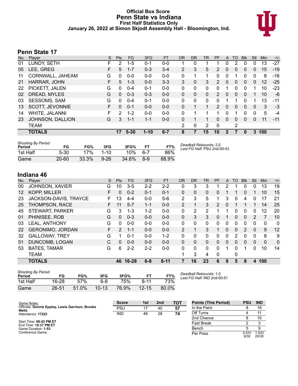#### **Official Box Score Penn State vs Indiana First Half Statistics Only January 26, 2022 at Simon Skjodt Assembly Hall - Bloomington, Ind.**



## **Penn State 17**

| No. | Plaver                 | S  | <b>Pts</b> | FG       | 3FG      | <b>FT</b> | <b>OR</b>      | <b>DR</b> | <b>TR</b> | PF             | A        | TO       | <b>B</b> lk | Stl          | Min    | $+/-$ |
|-----|------------------------|----|------------|----------|----------|-----------|----------------|-----------|-----------|----------------|----------|----------|-------------|--------------|--------|-------|
| 01  | LUNDY, SETH            | F  | 2          | $1 - 5$  | $0 - 1$  | $0 - 0$   |                | 0         |           |                | 0        | 2        | 0           | 0            | 13     | $-27$ |
| 05  | LEE, GREG              | F. | 5          | $1 - 7$  | $0 - 3$  | $3 - 4$   | $\overline{2}$ | 3         | 5         | 2              | 0        | 0        | 0           | 0            | 15     | $-19$ |
| 11  | CORNWALL, JAHEAM       | G  | 0          | $0 - 0$  | $0 - 0$  | $0 - 0$   | 0              | 1         |           | 0              | 0        |          | 0           | 0            | 8      | $-16$ |
| 21  | HARRAR, JOHN           | F. | 5          | $1 - 3$  | $0 - 0$  | $3 - 3$   | 3              | $\Omega$  | 3         | $\mathcal{P}$  | 0        | 0        | $\Omega$    | $\mathbf{0}$ | 12     | $-25$ |
| 22  | PICKETT, JALEN         | G  | 0          | $0 - 4$  | $0 - 1$  | $0 - 0$   | 0              | 0         | $\Omega$  | 0              |          | 0        | $\Omega$    |              | 10     | $-23$ |
| 02  | DREAD, MYLES           | G  | $\Omega$   | $0 - 3$  | $0 - 3$  | $0 - 0$   | 0              | $\Omega$  | 0         | $\mathcal{P}$  | 0        | $\Omega$ | $\Omega$    |              | 10     | -6    |
| 03  | <b>SESSOMS, SAM</b>    | G  | 0          | $0 - 4$  | $0 - 1$  | $0 - 0$   | 0              | 0         | 0         | 0              |          |          | 0           |              | 13     | -11   |
| 13  | <b>SCOTT, JEVONNIE</b> | F. | $\Omega$   | $0 - 1$  | $0 - 0$  | $0 - 0$   | 0              | 1         | 1         | $\overline{2}$ | $\Omega$ | $\Omega$ | 0           | 0            | 3      | $-3$  |
| 14  | WHITE, JALANNI         | F  | 2          | $1 - 2$  | $0 - 0$  | $0 - 0$   | 0              | 1         |           | 1              | 0        |          | $\Omega$    | 0            | 5      | $-4$  |
| 23  | JOHNSON, DALLION       | G  | 3          | $1 - 1$  | $1 - 1$  | $0 - 0$   | 0              | 1         |           | 0              | $\Omega$ | $\Omega$ | $\Omega$    | $\Omega$     | 11     | $-11$ |
|     | <b>TEAM</b>            |    |            |          |          |           | $\overline{2}$ | 0         | 2         | $\Omega$       |          | 2        |             |              |        |       |
|     | <b>TOTALS</b>          |    | 17         | $5 - 30$ | $1 - 10$ | $6 - 7$   | 8              | 7         | 15        | 10             | 2        |          | $\bf{0}$    |              | 3, 100 |       |
|     |                        |    |            |          |          |           |                |           |           |                |          |          |             |              |        |       |

| <b>Shooting By Period</b><br>Period | FG        | FG%   | 3FG      | 3FG%  | FT. | FT%   | Deadball Rebounds: 2,0<br>Last FG Half: PSU 2nd-00:43 |
|-------------------------------------|-----------|-------|----------|-------|-----|-------|-------------------------------------------------------|
| 1st Half                            | $5 - 30$  | 17%   | $1 - 10$ | 10%   | 6-7 | 86%   |                                                       |
| Game                                | $20 - 60$ | 33.3% | $9 - 26$ | 34.6% | 8-9 | 88.9% |                                                       |

### **Indiana 46**

| No. | Player                  | S  | <b>Pts</b>    | <b>FG</b> | 3FG     | <b>FT</b> | <b>OR</b>      | <b>DR</b> | TR           | PF            | A        | TO | <b>B</b> lk   | Stl      | Min      | $+/-$    |
|-----|-------------------------|----|---------------|-----------|---------|-----------|----------------|-----------|--------------|---------------|----------|----|---------------|----------|----------|----------|
| 00  | JOHNSON, XAVIER         | G  | 10            | $3-5$     | $2 - 2$ | $2 - 2$   | 0              | 3         | 3            |               | 2        |    | 0             | 0        | 13       | 19       |
| 12  | <b>KOPP, MILLER</b>     | F  | 0             | $0 - 2$   | $0 - 1$ | $0 - 1$   | 0              | 0         | 0            | 0             |          |    | $\Omega$      |          | 10       | 15       |
| 23  | JACKSON-DAVIS, TRAYCE   | F  | 13            | $4 - 4$   | $0 - 0$ | $5-6$     | 2              | 3         | 5            |               | 3        | 0  | 4             | $\Omega$ | 17       | 21       |
| 25  | <b>THOMPSON, RACE</b>   | F. |               | $5 - 7$   | $1 - 1$ | $0 - 0$   | $\overline{2}$ |           | 3            | $\mathcal{P}$ | $\Omega$ |    |               |          | 14       | 25       |
| 45  | <b>STEWART, PARKER</b>  | G  | 3             | $1 - 3$   | $1-2$   | $0 - 0$   | 0              | 2         | 2            |               | 1        | 0  | $\Omega$      | 0        | 12       | 20       |
| 01  | PHINISEE, ROB           | G  | $\Omega$      | $0 - 3$   | $0 - 0$ | $0 - 0$   | $\Omega$       | 3         | 3            | 0             |          | 0  | $\mathbf{0}$  | 2        |          | 10       |
| 03  | <b>LEAL, ANTHONY</b>    | G  | 0             | $0 - 0$   | $0 - 0$ | $0 - 0$   | 0              | 0         | 0            | 0             | 0        | 0  | 0             | 0        | 0        | 0        |
| 22  | <b>GERONIMO, JORDAN</b> | F. | $\mathcal{P}$ | $1 - 1$   | $0 - 0$ | $0 - 0$   | $\overline{2}$ |           | 3            |               | 0        | 0  | $\mathcal{P}$ | $\Omega$ | 9        | 12       |
| 32  | <b>GALLOWAY, TREY</b>   | G  |               | $0 - 1$   | $0 - 0$ | $1 - 2$   | 0              | 0         | $\mathbf{0}$ | 0             | 0        | 2  | 0             | $\Omega$ | 8        | 9        |
| 51  | DUNCOMB, LOGAN          | С  | 0             | $0 - 0$   | $0 - 0$ | $0 - 0$   | $\Omega$       | 0         | $\mathbf{0}$ | 0             | 0        | 0  | $\Omega$      | $\Omega$ | $\Omega$ | $\Omega$ |
| 53  | <b>BATES, TAMAR</b>     | G  | 6             | $2 - 2$   | $2 - 2$ | $0 - 0$   | 0              | 0         | $\Omega$     | 0             | 1        | 0  |               | 0        | 10       | 14       |
|     | <b>TEAM</b>             |    |               |           |         |           | 1              | 3         | 4            | $\Omega$      |          | 0  |               |          |          |          |
|     | <b>TOTALS</b>           |    | 46            | 16-28     | $6 - 8$ | $8 - 11$  |                | 16        | 23           | 6             | 9        | 5  | 8             | 4        | 100      |          |

| <b>Shooting By Period</b><br>Period | FG        | FG%   | 3FG       | 3FG%  |           | FT%   |
|-------------------------------------|-----------|-------|-----------|-------|-----------|-------|
| 1st Half                            | 16-28     | 57%   | հ-8       | 75%   | $8 - 11$  | 73%   |
| Game                                | $26 - 51$ | 51.0% | $10 - 13$ | 76.9% | $12 - 15$ | 80.0% |

*Deadball Rebounds:* 1,0 *Last FG Half:* IND 2nd-00:51

| Game Notes:                                               | <b>Score</b> | 1st | 2 <sub>nd</sub> | тот | <b>Points (This Period)</b> | <b>PSU</b>    | <b>IND</b>    |
|-----------------------------------------------------------|--------------|-----|-----------------|-----|-----------------------------|---------------|---------------|
| Officials: Donnie Eppley, Lewis Garrison, Brooks<br>Wells | PSU          | 17  | 40              | 57  | In the Paint                |               | 16            |
| Attendance: 17222                                         | IND          | 46  | 28              | 74  | Off Turns                   |               |               |
|                                                           |              |     |                 |     | 2nd Chance                  |               |               |
| Start Time: 08:43 PM ET<br>End Time: 10:37 PM ET          |              |     |                 |     | <b>Fast Break</b>           |               |               |
| Game Duration: 1:53                                       |              |     |                 |     | Bench                       |               |               |
| Conference Game:                                          |              |     |                 |     | Per Poss                    | 0.531<br>8/32 | .533<br>20/30 |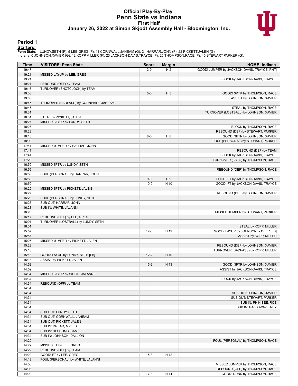#### **Official Play-By-Play Penn State vs Indiana First Half January 26, 2022 at Simon Skjodt Assembly Hall - Bloomington, Ind.**



#### **Period 1**

<mark>Starters:</mark><br>Penn State: 1 LUNDY,SETH (F); 5 LEE,GREG (F); 11 CORNWALL,JAHEAM (G); 21 HARRAR,JOHN (F); 22 PICKETT,JALEN (G);<br>Indiana: 0 JOHNSON,XAVIER (G); 12 KOPP,MILLER (F); 23 JACKSON-DAVIS,TRAYCE (F); 25 THOMPSON,RACE (

| Time           | <b>VISITORS: Penn State</b>                  | <b>Score</b> | <b>Margin</b>  | <b>HOME: Indiana</b>                                             |
|----------------|----------------------------------------------|--------------|----------------|------------------------------------------------------------------|
| 19:47          |                                              | $2 - 0$      | H <sub>2</sub> | GOOD! JUMPER by JACKSON-DAVIS, TRAYCE [PNT]                      |
| 19:21          | MISSED LAYUP by LEE, GREG                    |              |                |                                                                  |
| 19:21          |                                              |              |                | BLOCK by JACKSON-DAVIS, TRAYCE                                   |
| 19:21          | REBOUND (OFF) by TEAM                        |              |                |                                                                  |
| 19:16          | TURNOVER (SHOTCLOCK) by TEAM                 |              |                |                                                                  |
| 19:03          |                                              | $5-0$        | H <sub>5</sub> | GOOD! 3PTR by THOMPSON, RACE                                     |
| 19:03<br>18:45 | TURNOVER (BADPASS) by CORNWALL, JAHEAM       |              |                | ASSIST by JOHNSON, XAVIER                                        |
| 18:45          |                                              |              |                | STEAL by THOMPSON, RACE                                          |
| 18:31          |                                              |              |                | TURNOVER (LOSTBALL) by JOHNSON, XAVIER                           |
| 18:31          | STEAL by PICKETT, JALEN                      |              |                |                                                                  |
| 18:27          | MISSED LAYUP by LUNDY, SETH                  |              |                |                                                                  |
| 18:27          |                                              |              |                | BLOCK by THOMPSON, RACE                                          |
| 18:23          |                                              |              |                | REBOUND (DEF) by STEWART, PARKER                                 |
| 18:18          |                                              | $8-0$        | H <sub>8</sub> | GOOD! 3PTR by JOHNSON, XAVIER                                    |
| 18:00          |                                              |              |                | FOUL (PERSONAL) by STEWART, PARKER                               |
| 17:41          | MISSED JUMPER by HARRAR, JOHN                |              |                |                                                                  |
| 17:41<br>17:41 |                                              |              |                | REBOUND (DEF) by TEAM<br>BLOCK by JACKSON-DAVIS, TRAYCE          |
| 17:20          |                                              |              |                | TURNOVER (3SEC) by THOMPSON, RACE                                |
| 16:59          | MISSED 3PTR by LUNDY, SETH                   |              |                |                                                                  |
| 16:56          |                                              |              |                | REBOUND (DEF) by THOMPSON, RACE                                  |
| 16:50          | FOUL (PERSONAL) by HARRAR, JOHN              |              |                |                                                                  |
| 16:50          |                                              | $9-0$        | H9             | GOOD! FT by JACKSON-DAVIS, TRAYCE                                |
| 16:50          |                                              | $10 - 0$     | H 10           | GOOD! FT by JACKSON-DAVIS, TRAYCE                                |
| 16:29          | MISSED 3PTR by PICKETT, JALEN                |              |                |                                                                  |
| 16:27          |                                              |              |                | REBOUND (DEF) by JOHNSON, XAVIER                                 |
| 16:23          | FOUL (PERSONAL) by LUNDY, SETH               |              |                |                                                                  |
| 16:23          | SUB OUT: HARRAR, JOHN                        |              |                |                                                                  |
| 16:23          | SUB IN: WHITE, JALANNI                       |              |                |                                                                  |
| 16:20<br>16:17 | REBOUND (DEF) by LEE, GREG                   |              |                | MISSED JUMPER by STEWART, PARKER                                 |
| 16:01          | TURNOVER (LOSTBALL) by LUNDY, SETH           |              |                |                                                                  |
| 16:01          |                                              |              |                | STEAL by KOPP, MILLER                                            |
| 15:57          |                                              | $12 - 0$     | H 12           | GOOD! LAYUP by JOHNSON, XAVIER [FB]                              |
| 15:57          |                                              |              |                | ASSIST by KOPP, MILLER                                           |
| 15:26          | MISSED JUMPER by PICKETT, JALEN              |              |                |                                                                  |
| 15:23          |                                              |              |                | REBOUND (DEF) by JOHNSON, XAVIER                                 |
| 15:18          |                                              |              |                | TURNOVER (BADPASS) by KOPP, MILLER                               |
| 15:13          | GOOD! LAYUP by LUNDY, SETH [FB]              | $12 - 2$     | H 10           |                                                                  |
| 15:13          | ASSIST by PICKETT, JALEN                     |              |                |                                                                  |
| 14:52<br>14:52 |                                              | $15 - 2$     | H 13           | GOOD! 3PTR by JOHNSON, XAVIER<br>ASSIST by JACKSON-DAVIS, TRAYCE |
| 14:34          | MISSED LAYUP by WHITE, JALANNI               |              |                |                                                                  |
| 14:34          |                                              |              |                | BLOCK by JACKSON-DAVIS, TRAYCE                                   |
| 14:34          | REBOUND (OFF) by TEAM                        |              |                |                                                                  |
| 14:34          |                                              |              |                |                                                                  |
| 14:34          |                                              |              |                | SUB OUT: JOHNSON, XAVIER                                         |
| 14:34          |                                              |              |                | SUB OUT: STEWART, PARKER                                         |
| 14:34          |                                              |              |                | SUB IN: PHINISEE, ROB                                            |
| 14:34          |                                              |              |                | SUB IN: GALLOWAY, TREY                                           |
| 14:34          | SUB OUT: LUNDY, SETH                         |              |                |                                                                  |
| 14:34          | SUB OUT: CORNWALL, JAHEAM                    |              |                |                                                                  |
| 14:34          | SUB OUT: PICKETT, JALEN                      |              |                |                                                                  |
| 14:34<br>14:34 | SUB IN: DREAD, MYLES<br>SUB IN: SESSOMS, SAM |              |                |                                                                  |
| 14:34          | SUB IN: JOHNSON, DALLION                     |              |                |                                                                  |
| 14:29          |                                              |              |                | FOUL (PERSONAL) by THOMPSON, RACE                                |
| 14:29          | MISSED FT by LEE, GREG                       |              |                |                                                                  |
| 14:29          | REBOUND (OFF) by TEAM                        |              |                |                                                                  |
| 14:29          | GOOD! FT by LEE, GREG                        | $15-3$       | H 12           |                                                                  |
| 14:13          | FOUL (PERSONAL) by WHITE, JALANNI            |              |                |                                                                  |
| 14:06          |                                              |              |                | MISSED JUMPER by THOMPSON, RACE                                  |
| 14:03          |                                              |              |                | REBOUND (OFF) by THOMPSON, RACE                                  |
| 14:02          |                                              | $17-3$       | H 14           | GOOD! DUNK by THOMPSON, RACE                                     |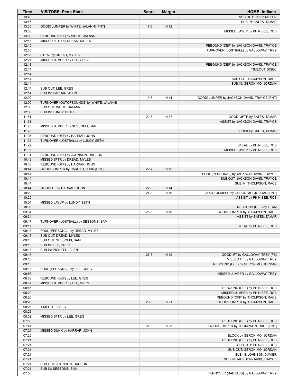| Time           | <b>VISITORS: Penn State</b>                                      | <b>Score</b> | <b>Margin</b> | <b>HOME: Indiana</b>                                              |
|----------------|------------------------------------------------------------------|--------------|---------------|-------------------------------------------------------------------|
| 13:46          |                                                                  |              |               | SUB OUT: KOPP, MILLER                                             |
| 13:46          |                                                                  |              |               | SUB IN: BATES, TAMAR                                              |
| 13:35          | GOOD! JUMPER by WHITE, JALANNI [PNT]                             | $17-5$       | H 12          |                                                                   |
| 13:03          |                                                                  |              |               | MISSED LAYUP by PHINISEE, ROB                                     |
| 13:00<br>12:48 | REBOUND (DEF) by WHITE, JALANNI<br>MISSED 3PTR by DREAD, MYLES   |              |               |                                                                   |
| 12:45          |                                                                  |              |               | REBOUND (DEF) by JACKSON-DAVIS, TRAYCE                            |
| 12:35          |                                                                  |              |               | TURNOVER (LOSTBALL) by GALLOWAY, TREY                             |
| 12:35          | STEAL by DREAD, MYLES                                            |              |               |                                                                   |
| 12:21          | MISSED JUMPER by LEE, GREG                                       |              |               |                                                                   |
| 12:18          |                                                                  |              |               | REBOUND (DEF) by JACKSON-DAVIS, TRAYCE                            |
| 12:14          |                                                                  |              |               | TIMEOUT 30SEC                                                     |
| 12:14<br>12:14 |                                                                  |              |               | SUB OUT: THOMPSON, RACE                                           |
| 12:14          |                                                                  |              |               | SUB IN: GERONIMO, JORDAN                                          |
| 12:14          | SUB OUT: LEE, GREG                                               |              |               |                                                                   |
| 12:14          | SUB IN: HARRAR, JOHN                                             |              |               |                                                                   |
| 12:02          |                                                                  | $19-5$       | H 14          | GOOD! JUMPER by JACKSON-DAVIS, TRAYCE [PNT]                       |
| 12:00          | TURNOVER (OUTOFBOUNDS) by WHITE, JALANNI                         |              |               |                                                                   |
| 12:00          | SUB OUT: WHITE, JALANNI                                          |              |               |                                                                   |
| 12:00<br>11:51 | SUB IN: LUNDY, SETH                                              | $22 - 5$     | H 17          | GOOD! 3PTR by BATES, TAMAR                                        |
| 11:51          |                                                                  |              |               | ASSIST by JACKSON-DAVIS, TRAYCE                                   |
| 11:25          | MISSED JUMPER by SESSOMS, SAM                                    |              |               |                                                                   |
| 11:25          |                                                                  |              |               | BLOCK by BATES, TAMAR                                             |
| 11:25          | REBOUND (OFF) by HARRAR, JOHN                                    |              |               |                                                                   |
| 11:22          | TURNOVER (LOSTBALL) by LUNDY, SETH                               |              |               |                                                                   |
| 11:22          |                                                                  |              |               | STEAL by PHINISEE, ROB                                            |
| 11:03          |                                                                  |              |               | MISSED LAYUP by PHINISEE, ROB                                     |
| 11:01<br>10:49 | REBOUND (DEF) by JOHNSON, DALLION<br>MISSED 3PTR by DREAD, MYLES |              |               |                                                                   |
| 10:46          | REBOUND (OFF) by HARRAR, JOHN                                    |              |               |                                                                   |
| 10:44          | GOOD! JUMPER by HARRAR, JOHN [PNT]                               | $22 - 7$     | H 15          |                                                                   |
| 10:44          |                                                                  |              |               | FOUL (PERSONAL) by JACKSON-DAVIS, TRAYCE                          |
| 10:44          |                                                                  |              |               | SUB OUT: JACKSON-DAVIS, TRAYCE                                    |
| 10:44          |                                                                  |              |               | SUB IN: THOMPSON, RACE                                            |
| 10:44          | GOOD! FT by HARRAR, JOHN                                         | $22 - 8$     | H 14          |                                                                   |
| 10:29          |                                                                  | $24 - 8$     | H 16          | GOOD! JUMPER by GERONIMO, JORDAN [PNT]<br>ASSIST by PHINISEE, ROB |
| 10:29<br>10:04 | MISSED LAYUP by LUNDY, SETH                                      |              |               |                                                                   |
| 10:03          |                                                                  |              |               | REBOUND (DEF) by TEAM                                             |
| 09:34          |                                                                  | $26 - 8$     | H 18          | GOOD! JUMPER by THOMPSON, RACE                                    |
| 09:34          |                                                                  |              |               | ASSIST by BATES, TAMAR                                            |
| 09:17          | TURNOVER (LOSTBALL) by SESSOMS, SAM                              |              |               |                                                                   |
| 09:17          |                                                                  |              |               | STEAL by PHINISEE, ROB                                            |
| 09:13          | FOUL (PERSONAL) by DREAD, MYLES<br>SUB OUT: DREAD, MYLES         |              |               |                                                                   |
| 09:13<br>09:13 | SUB OUT: SESSOMS, SAM                                            |              |               |                                                                   |
| 09:13          | SUB IN: LEE, GREG                                                |              |               |                                                                   |
| 09:13          | SUB IN: PICKETT, JALEN                                           |              |               |                                                                   |
| 09:13          |                                                                  | $27 - 8$     | H 19          | GOOD! FT by GALLOWAY, TREY [FB]                                   |
| 09:13          |                                                                  |              |               | MISSED FT by GALLOWAY, TREY                                       |
| 09:13          |                                                                  |              |               | REBOUND (OFF) by GERONIMO, JORDAN                                 |
| 09:13          | FOUL (PERSONAL) by LEE, GREG                                     |              |               |                                                                   |
| 08:56<br>08:53 | REBOUND (DEF) by LEE, GREG                                       |              |               | MISSED JUMPER by GALLOWAY, TREY                                   |
| 08:47          | MISSED JUMPER by LEE, GREG                                       |              |               |                                                                   |
| 08:45          |                                                                  |              |               | REBOUND (DEF) by PHINISEE, ROB                                    |
| 08:29          |                                                                  |              |               | MISSED JUMPER by PHINISEE, ROB                                    |
| 08:26          |                                                                  |              |               | REBOUND (OFF) by THOMPSON, RACE                                   |
| 08:26          |                                                                  | $29 - 8$     | H 21          | GOOD! JUMPER by THOMPSON, RACE                                    |
| 08:26          | TIMEOUT 30SEC                                                    |              |               |                                                                   |
| 08:26<br>08:02 |                                                                  |              |               |                                                                   |
| 07:59          | MISSED 3PTR by LEE, GREG                                         |              |               | REBOUND (DEF) by PHINISEE, ROB                                    |
| 07:41          |                                                                  | $31 - 8$     | H 23          | GOOD! JUMPER by THOMPSON, RACE [PNT]                              |
| 07:25          | MISSED DUNK by HARRAR, JOHN                                      |              |               |                                                                   |
| 07:25          |                                                                  |              |               | BLOCK by GERONIMO, JORDAN                                         |
| 07:21          |                                                                  |              |               | REBOUND (DEF) by PHINISEE, ROB                                    |
| 07:21          |                                                                  |              |               | SUB OUT: PHINISEE, ROB                                            |
| 07:21          |                                                                  |              |               | SUB OUT: GERONIMO, JORDAN                                         |
| 07:21          |                                                                  |              |               | SUB IN: JOHNSON, XAVIER                                           |
| 07:21<br>07:21 | SUB OUT: JOHNSON, DALLION                                        |              |               | SUB IN: JACKSON-DAVIS, TRAYCE                                     |
| 07:21          | SUB IN: SESSOMS, SAM                                             |              |               |                                                                   |
| 07:06          |                                                                  |              |               | TURNOVER (BADPASS) by GALLOWAY, TREY                              |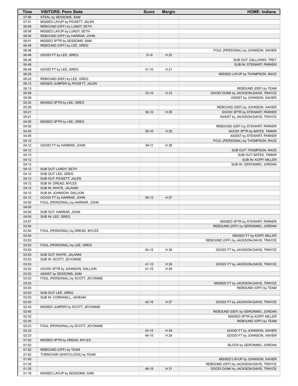| Time           | <b>VISITORS: Penn State</b>                                  | <b>Score</b> | <b>Margin</b> | <b>HOME: Indiana</b>                                                          |
|----------------|--------------------------------------------------------------|--------------|---------------|-------------------------------------------------------------------------------|
| 07:06          | STEAL by SESSOMS, SAM                                        |              |               |                                                                               |
| 07:01          | MISSED LAYUP by PICKETT, JALEN                               |              |               |                                                                               |
| 06:58          | REBOUND (OFF) by LUNDY, SETH                                 |              |               |                                                                               |
| 06:58<br>06:55 | MISSED LAYUP by LUNDY, SETH<br>REBOUND (OFF) by HARRAR, JOHN |              |               |                                                                               |
| 06:51          | MISSED 3PTR by SESSOMS, SAM                                  |              |               |                                                                               |
| 06:48          | REBOUND (OFF) by LEE, GREG                                   |              |               |                                                                               |
| 06:48          |                                                              |              |               | FOUL (PERSONAL) by JOHNSON, XAVIER                                            |
| 06:48          | GOOD! FT by LEE, GREG                                        | $31-9$       | H 22          |                                                                               |
| 06:48          |                                                              |              |               | SUB OUT: GALLOWAY, TREY                                                       |
| 06:48          |                                                              |              |               | SUB IN: STEWART, PARKER                                                       |
| 06:48          | GOOD! FT by LEE, GREG                                        | $31 - 10$    | H 21          |                                                                               |
| 06:25<br>06:22 | REBOUND (DEF) by LEE, GREG                                   |              |               | MISSED LAYUP by THOMPSON, RACE                                                |
| 06:13          | MISSED JUMPER by PICKETT, JALEN                              |              |               |                                                                               |
| 06:13          |                                                              |              |               | REBOUND (DEF) by TEAM                                                         |
| 05:58          |                                                              | $33-10$      | H 23          | GOOD! DUNK by JACKSON-DAVIS, TRAYCE                                           |
| 05:58          |                                                              |              |               | ASSIST by JOHNSON, XAVIER                                                     |
| 05:32          | MISSED 3PTR by LEE, GREG                                     |              |               |                                                                               |
| 05:28          |                                                              |              |               | REBOUND (DEF) by JOHNSON, XAVIER                                              |
| 05:21<br>05:21 |                                                              | $36-10$      | H 26          | GOOD! 3PTR by STEWART, PARKER<br>ASSIST by JACKSON-DAVIS, TRAYCE              |
| 04:55          | MISSED 3PTR by LEE, GREG                                     |              |               |                                                                               |
| 04:52          |                                                              |              |               | REBOUND (DEF) by STEWART, PARKER                                              |
| 04:45          |                                                              | $39-10$      | H 29          | GOOD! 3PTR by BATES, TAMAR                                                    |
| 04:45          |                                                              |              |               | ASSIST by STEWART, PARKER                                                     |
| 04:12          |                                                              |              |               | FOUL (PERSONAL) by THOMPSON, RACE                                             |
| 04:12          | GOOD! FT by HARRAR, JOHN                                     | 39-11        | H 28          |                                                                               |
| 04:12          |                                                              |              |               | SUB OUT: THOMPSON, RACE                                                       |
| 04:12<br>04:12 |                                                              |              |               | SUB OUT: BATES, TAMAR                                                         |
| 04:12          |                                                              |              |               | SUB IN: KOPP, MILLER<br>SUB IN: GERONIMO, JORDAN                              |
| 04:12          | SUB OUT: LUNDY, SETH                                         |              |               |                                                                               |
| 04:12          | SUB OUT: LEE, GREG                                           |              |               |                                                                               |
| 04:12          | SUB OUT: PICKETT, JALEN                                      |              |               |                                                                               |
| 04:12          | SUB IN: DREAD, MYLES                                         |              |               |                                                                               |
| 04:12          | SUB IN: WHITE, JALANNI                                       |              |               |                                                                               |
| 04:12          | SUB IN: JOHNSON, DALLION                                     |              |               |                                                                               |
| 04:12<br>04:00 | GOOD! FT by HARRAR, JOHN                                     | $39-12$      | H 27          |                                                                               |
| 04:00          | FOUL (PERSONAL) by HARRAR, JOHN                              |              |               |                                                                               |
| 04:00          | SUB OUT: HARRAR, JOHN                                        |              |               |                                                                               |
| 04:00          | SUB IN: LEE, GREG                                            |              |               |                                                                               |
| 03:57          |                                                              |              |               | MISSED 3PTR by STEWART, PARKER                                                |
| 03:54          |                                                              |              |               | REBOUND (OFF) by GERONIMO, JORDAN                                             |
| 03:54          | FOUL (PERSONAL) by DREAD, MYLES                              |              |               |                                                                               |
| 03:54          |                                                              |              |               | MISSED FT by KOPP, MILLER<br>REBOUND (OFF) by JACKSON-DAVIS, TRAYCE           |
| 03:53<br>03:53 | FOUL (PERSONAL) by LEE, GREG                                 |              |               |                                                                               |
| 03:53          |                                                              | 40-12        | H 28          | GOOD! FT by JACKSON-DAVIS, TRAYCE                                             |
| 03:53          | SUB OUT: WHITE, JALANNI                                      |              |               |                                                                               |
| 03:53          | SUB IN: SCOTT, JEVONNIE                                      |              |               |                                                                               |
| 03:53          |                                                              | $41 - 12$    | H 29          | GOOD! FT by JACKSON-DAVIS, TRAYCE                                             |
| 03:22          | GOOD! 3PTR by JOHNSON, DALLION                               | $41 - 15$    | H 26          |                                                                               |
| 03:22          | ASSIST by SESSOMS, SAM                                       |              |               |                                                                               |
| 03:03<br>03:03 | FOUL (PERSONAL) by SCOTT, JEVONNIE                           |              |               | MISSED FT by JACKSON-DAVIS, TRAYCE                                            |
| 03:03          |                                                              |              |               | REBOUND (OFF) by TEAM                                                         |
| 03:03          | SUB OUT: LEE, GREG                                           |              |               |                                                                               |
| 03:03          | SUB IN: CORNWALL, JAHEAM                                     |              |               |                                                                               |
| 03:03          |                                                              | $42 - 15$    | H 27          | GOOD! FT by JACKSON-DAVIS, TRAYCE                                             |
| 02:43          | MISSED JUMPER by SCOTT, JEVONNIE                             |              |               |                                                                               |
| 02:40          |                                                              |              |               | REBOUND (DEF) by GERONIMO, JORDAN                                             |
| 02:33          |                                                              |              |               | MISSED 3PTR by KOPP, MILLER                                                   |
| 02:30<br>02:23 | FOUL (PERSONAL) by SCOTT, JEVONNIE                           |              |               | REBOUND (OFF) by TEAM                                                         |
| 02:23          |                                                              | 43-15        | H 28          | GOOD! FT by JOHNSON, XAVIER                                                   |
| 02:23          |                                                              | 44-15        | H 29          | GOOD! FT by JOHNSON, XAVIER                                                   |
| 01:52          | MISSED 3PTR by DREAD, MYLES                                  |              |               |                                                                               |
| 01:52          |                                                              |              |               | BLOCK by GERONIMO, JORDAN                                                     |
| 01:52          | REBOUND (OFF) by TEAM                                        |              |               |                                                                               |
| 01:52          | TURNOVER (SHOTCLOCK) by TEAM                                 |              |               |                                                                               |
| 01:40          |                                                              |              |               | MISSED LAYUP by JOHNSON, XAVIER                                               |
| 01:35<br>01:35 |                                                              | 46-15        | H 31          | REBOUND (OFF) by JACKSON-DAVIS, TRAYCE<br>GOOD! DUNK by JACKSON-DAVIS, TRAYCE |
| 01:16          | MISSED LAYUP by SESSOMS, SAM                                 |              |               |                                                                               |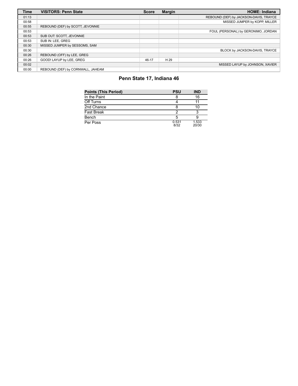| <b>Time</b> | <b>VISITORS: Penn State</b>       | <b>Score</b> | <b>Margin</b> | <b>HOME: Indiana</b>                   |
|-------------|-----------------------------------|--------------|---------------|----------------------------------------|
| 01:13       |                                   |              |               | REBOUND (DEF) by JACKSON-DAVIS, TRAYCE |
| 00:58       |                                   |              |               | MISSED JUMPER by KOPP, MILLER          |
| 00:55       | REBOUND (DEF) by SCOTT, JEVONNIE  |              |               |                                        |
| 00:53       |                                   |              |               | FOUL (PERSONAL) by GERONIMO, JORDAN    |
| 00:53       | SUB OUT: SCOTT, JEVONNIE          |              |               |                                        |
| 00:53       | SUB IN: LEE. GREG                 |              |               |                                        |
| 00:30       | MISSED JUMPER by SESSOMS, SAM     |              |               |                                        |
| 00:30       |                                   |              |               | BLOCK by JACKSON-DAVIS, TRAYCE         |
| 00:26       | REBOUND (OFF) by LEE, GREG        |              |               |                                        |
| 00:26       | GOOD! LAYUP by LEE, GREG          | 46-17        | H 29          |                                        |
| 00:02       |                                   |              |               | MISSED LAYUP by JOHNSON, XAVIER        |
| 00:00       | REBOUND (DEF) by CORNWALL, JAHEAM |              |               |                                        |

# **Penn State 17, Indiana 46**

| <b>Points (This Period)</b> | <b>PSU</b>    | <b>IND</b>     |
|-----------------------------|---------------|----------------|
| In the Paint                |               | 16             |
| Off Turns                   |               |                |
| 2nd Chance                  |               | 10             |
| <b>Fast Break</b>           |               |                |
| Bench                       |               |                |
| Per Poss                    | 0.531<br>8/32 | 1.533<br>20/30 |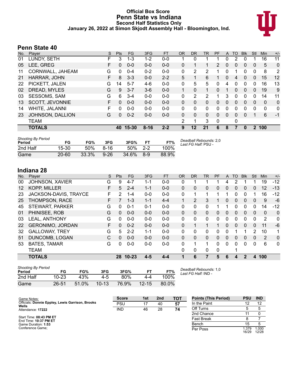#### **Official Box Score Penn State vs Indiana Second Half Statistics Only January 26, 2022 at Simon Skjodt Assembly Hall - Bloomington, Ind.**



### **Penn State 40**

| No. | Plaver              | S  | <b>Pts</b> | <b>FG</b> | 3FG      | <b>FT</b> | <b>OR</b>      | DR       | TR             | <b>PF</b>      | A        | TO       | <b>B</b> lk | Stl          | Min          | $+/-$          |
|-----|---------------------|----|------------|-----------|----------|-----------|----------------|----------|----------------|----------------|----------|----------|-------------|--------------|--------------|----------------|
| 01  | LUNDY, SETH         | F  | 3          | $1 - 3$   | $1 - 2$  | $0-0$     |                | 0        |                |                | 0        | 2        | 0           |              | 16           | 11             |
| 05  | LEE, GREG           | F  | $\Omega$   | $0 - 0$   | $0 - 0$  | $0 - 0$   | 0              | 1        |                | $\overline{2}$ | 0        | 0        | 0           | $\mathbf{0}$ | 5            | 0              |
| 11  | CORNWALL, JAHEAM    | G  | $\Omega$   | $0 - 4$   | $0 - 2$  | $0 - 0$   | 0              | 2        | $\overline{2}$ | 1              | 0        |          | 0           | 0            | 8            | $\overline{2}$ |
| 21  | HARRAR, JOHN        | F  | 8          | $3 - 3$   | $0 - 0$  | $2 - 2$   | 5              |          | 6              |                | 0        | 4        | $\Omega$    | 0            | 15           | 12             |
| 22  | PICKETT, JALEN      | G  | 14         | $5 - 7$   | $4-6$    | $0 - 0$   | 0              | 5        | 5              | 0              | 4        | 0        | 0           | 0            | 16           | 13             |
| 02  | DREAD, MYLES        | G  | 9          | $3 - 7$   | $3-6$    | $0 - 0$   | $\mathbf{1}$   | 0        | 1              | 0              |          | 0        | 0           | $\Omega$     | 19           | 9              |
| 03  | <b>SESSOMS, SAM</b> | G  | 6          | $3 - 4$   | $0 - 0$  | $0 - 0$   | 0              | 2        | 2              | 1              | 3        | 0        | $\mathbf 0$ | 0            | 14           | 11             |
| 13  | SCOTT, JEVONNIE     | F. | $\Omega$   | $0 - 0$   | $0 - 0$  | $0 - 0$   | 0              | $\Omega$ | $\Omega$       | 0              | $\Omega$ | $\Omega$ | $\Omega$    | $\Omega$     | $\mathbf{0}$ | 0              |
| 14  | WHITE, JALANNI      | F  | $\Omega$   | $0 - 0$   | $0 - 0$  | $0 - 0$   | 0              | 0        | $\mathbf{0}$   | 0              | 0        | 0        | $\Omega$    | 0            | 0            | $\mathbf{0}$   |
| 23  | JOHNSON, DALLION    | G  | $\Omega$   | $0 - 2$   | $0 - 0$  | $0 - 0$   | 0              | $\Omega$ | 0              | $\Omega$       | $\Omega$ | $\Omega$ | $\Omega$    |              | 6            | $-1$           |
|     | TEAM                |    |            |           |          |           | $\overline{2}$ | 1        | 3              | 0              |          | 0        |             |              |              |                |
|     | <b>TOTALS</b>       |    | 40         | $15 - 30$ | $8 - 16$ | $2 - 2$   | 9              | 12       | 21             | 6              | 8        | 7        | $\bf{0}$    |              | 2 100        |                |
|     |                     |    |            |           |          |           |                |          |                |                |          |          |             |              |              |                |

| <b>Shooting By Period</b><br>Period | FG        | FG%   | 3FG      | 3FG%  | FТ      | FT%   | Deadball Rebounds: 2,0<br>Last FG Half: PSU - |
|-------------------------------------|-----------|-------|----------|-------|---------|-------|-----------------------------------------------|
| 2nd Half                            | 15-30     | 50%   | 8-16     | .50%  | $2 - 2$ | 100%  |                                               |
| Game                                | $20 - 60$ | 33.3% | $9 - 26$ | 34.6% | $8-9$   | 88.9% |                                               |

# **Indiana 28**

| No. | Player                  | S  | <b>Pts</b>   | <b>FG</b> | 3FG     | <b>FT</b> | <b>OR</b>    | <b>DR</b> | <b>TR</b>    | PF | A | TO       | <b>Blk</b>   | Stl          | Min          | $+/-$ |
|-----|-------------------------|----|--------------|-----------|---------|-----------|--------------|-----------|--------------|----|---|----------|--------------|--------------|--------------|-------|
| 00  | JOHNSON, XAVIER         | G  | 9            | 4-7       | 1-1     | $0 - 0$   | 0            | 1         |              | 4  | 4 | 2        |              |              | 19           | -12   |
| 12  | <b>KOPP, MILLER</b>     | F. | 5            | $2 - 4$   | $1 - 1$ | $0 - 0$   | $\mathbf{0}$ | $\Omega$  | $\Omega$     | 0  | 0 | $\Omega$ | $\mathbf{0}$ | 0            | 12           | $-13$ |
| 23  | JACKSON-DAVIS, TRAYCE   | F  | 2            | $1 - 4$   | $0 - 0$ | $0 - 0$   | 0            | 1         |              |    |   | 0        | 0            |              | 16           | $-12$ |
| 25  | <b>THOMPSON, RACE</b>   | F. | 7            | $1 - 3$   | $1 - 1$ | $4 - 4$   | 1            | 2         | 3            |    | 0 | 0        | 0            | $\mathbf{0}$ | 9            | -6    |
| 45  | <b>STEWART, PARKER</b>  | G  | 0            | $0 - 1$   | $0 - 1$ | $0 - 0$   | 0            | 0         | 0            |    |   | 0        | 0            | 0            | 14           | $-12$ |
| 01  | PHINISEE, ROB           | G  | $\mathbf{0}$ | $0 - 0$   | $0 - 0$ | $0 - 0$   | $\Omega$     | $\Omega$  | 0            | 0  | 0 | $\Omega$ | 0            | $\mathbf{0}$ | $\mathbf{0}$ | 0     |
| 03  | <b>LEAL, ANTHONY</b>    | G  | 0            | $0 - 0$   | $0 - 0$ | $0 - 0$   | 0            | $\Omega$  | $\Omega$     | 0  | 0 | 0        | $\Omega$     | 0            | 2            | 0     |
| 22  | <b>GERONIMO, JORDAN</b> | F. | $\Omega$     | $0 - 2$   | $0 - 0$ | $0 - 0$   | 0            | 1         |              |    | 0 | $\Omega$ | $\Omega$     | $\Omega$     | 11           | $-6$  |
| 32  | <b>GALLOWAY, TREY</b>   | G  | 5            | $2 - 2$   | $1 - 1$ | $0 - 0$   | $\Omega$     | 0         | $\Omega$     | 0  | 0 |          | 1            | 2            | 10           | 1     |
| 51  | DUNCOMB, LOGAN          | С  | $\Omega$     | $0 - 0$   | $0 - 0$ | $0 - 0$   | 0            | $\Omega$  | $\mathbf{0}$ | 0  | 0 | 0        | $\Omega$     | 0            | 2            | 0     |
| 53  | <b>BATES, TAMAR</b>     | G  | $\Omega$     | $0-0$     | $0 - 0$ | $0 - 0$   | 0            | 1         | 1            | 0  | 0 | 0        | $\Omega$     | $\Omega$     | 6            | 0     |
|     | <b>TEAM</b>             |    |              |           |         |           | 0            | 0         | 0            | 0  |   |          |              |              |              |       |
|     | <b>TOTALS</b>           |    | 28           | $10 - 23$ | 4-5     | 4-4       |              | 6         |              | 5  | 6 | 4        | $\mathbf 2$  | 4            | 100          |       |
|     |                         |    |              |           |         |           |              |           |              |    |   |          |              |              |              |       |

| <b>Shooting By Period</b><br>Period | FG        | FG%   | 3FG       | 3FG%  |           | FT%   |
|-------------------------------------|-----------|-------|-----------|-------|-----------|-------|
| 2nd Half                            | $10 - 23$ | 43%   | 4-5       | 80%   | 4-4       | 100%  |
| Game                                | 26-51     | 51.0% | $10 - 13$ | 76.9% | $12 - 15$ | 80.0% |

*Deadball Rebounds:* 1,0 *Last FG Half:* IND -

| Game Notes:                                               | <b>Score</b> | 1st | 2 <sub>nd</sub> | TOT | <b>Points (This Period)</b> | PSU           | <b>IND</b>    |
|-----------------------------------------------------------|--------------|-----|-----------------|-----|-----------------------------|---------------|---------------|
| Officials: Donnie Eppley, Lewis Garrison, Brooks<br>Wells | PSU          | 17  | 40              | 57  | In the Paint                |               | 12            |
| Attendance: 17222                                         | <b>IND</b>   | 46  | 28              | 74  | Off Turns                   |               |               |
|                                                           |              |     |                 |     | 2nd Chance                  |               |               |
| Start Time: 08:43 PM ET<br>End Time: 10:37 PM ET          |              |     |                 |     | <b>Fast Break</b>           |               |               |
| Game Duration: 1:53                                       |              |     |                 |     | Bench                       | 15            |               |
| Conference Game:                                          |              |     |                 |     | Per Poss                    | .379<br>16/29 | .000<br>12/28 |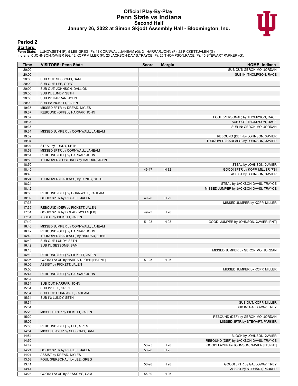### **Official Play-By-Play Penn State vs Indiana Second Half January 26, 2022 at Simon Skjodt Assembly Hall - Bloomington, Ind.**



#### **Period 2**

<mark>Starters:</mark><br>Penn State: 1 LUNDY,SETH (F); 5 LEE,GREG (F); 11 CORNWALL,JAHEAM (G); 21 HARRAR,JOHN (F); 22 PICKETT,JALEN (G);<br>Indiana: 0 JOHNSON,XAVIER (G); 12 KOPP,MILLER (F); 23 JACKSON-DAVIS,TRAYCE (F); 25 THOMPSON,RACE (

| Time           | <b>VISITORS: Penn State</b>          | <b>Score</b> | <b>Margin</b> | <b>HOME: Indiana</b>                                         |
|----------------|--------------------------------------|--------------|---------------|--------------------------------------------------------------|
| 20:00          |                                      |              |               | SUB OUT: GERONIMO, JORDAN                                    |
| 20:00          |                                      |              |               | SUB IN: THOMPSON, RACE                                       |
| 20:00          | SUB OUT: SESSOMS, SAM                |              |               |                                                              |
| 20:00          | SUB OUT: LEE, GREG                   |              |               |                                                              |
| 20:00          | SUB OUT: JOHNSON, DALLION            |              |               |                                                              |
| 20:00          | SUB IN: LUNDY, SETH                  |              |               |                                                              |
| 20:00          | SUB IN: HARRAR, JOHN                 |              |               |                                                              |
| 20:00          | SUB IN: PICKETT, JALEN               |              |               |                                                              |
| 19:37          | MISSED 3PTR by DREAD, MYLES          |              |               |                                                              |
| 19:37<br>19:37 | REBOUND (OFF) by HARRAR, JOHN        |              |               |                                                              |
| 19:37          |                                      |              |               | FOUL (PERSONAL) by THOMPSON, RACE<br>SUB OUT: THOMPSON, RACE |
| 19:37          |                                      |              |               | SUB IN: GERONIMO, JORDAN                                     |
| 19:34          | MISSED JUMPER by CORNWALL, JAHEAM    |              |               |                                                              |
| 19:32          |                                      |              |               | REBOUND (DEF) by JOHNSON, XAVIER                             |
| 19:04          |                                      |              |               | TURNOVER (BADPASS) by JOHNSON, XAVIER                        |
| 19:04          | STEAL by LUNDY, SETH                 |              |               |                                                              |
| 18:53          | MISSED 3PTR by CORNWALL, JAHEAM      |              |               |                                                              |
| 18:51          | REBOUND (OFF) by HARRAR, JOHN        |              |               |                                                              |
| 18:50          | TURNOVER (LOSTBALL) by HARRAR, JOHN  |              |               |                                                              |
| 18:50          |                                      |              |               | STEAL by JOHNSON, XAVIER                                     |
| 18:45          |                                      | 49-17        | H 32          | GOOD! 3PTR by KOPP, MILLER [FB]                              |
| 18:45          |                                      |              |               | ASSIST by JOHNSON, XAVIER                                    |
| 18:24          | TURNOVER (BADPASS) by LUNDY, SETH    |              |               |                                                              |
| 18:24          |                                      |              |               | STEAL by JACKSON-DAVIS, TRAYCE                               |
| 18:12          |                                      |              |               | MISSED JUMPER by JACKSON-DAVIS, TRAYCE                       |
| 18:08          | REBOUND (DEF) by CORNWALL, JAHEAM    |              |               |                                                              |
| 18:02          | GOOD! 3PTR by PICKETT, JALEN         | 49-20        | H 29          |                                                              |
| 17:38          |                                      |              |               | MISSED JUMPER by KOPP, MILLER                                |
| 17:35          | REBOUND (DEF) by PICKETT, JALEN      |              |               |                                                              |
| 17:31          | GOOD! 3PTR by DREAD, MYLES [FB]      | 49-23        | H 26          |                                                              |
| 17:31          | ASSIST by PICKETT, JALEN             |              |               |                                                              |
| 17:10          |                                      | 51-23        | H 28          | GOOD! JUMPER by JOHNSON, XAVIER [PNT]                        |
| 16:46          | MISSED JUMPER by CORNWALL, JAHEAM    |              |               |                                                              |
| 16:42          | REBOUND (OFF) by HARRAR, JOHN        |              |               |                                                              |
| 16:42<br>16:42 | TURNOVER (BADPASS) by HARRAR, JOHN   |              |               |                                                              |
| 16:42          | SUB OUT: LUNDY, SETH                 |              |               |                                                              |
| 16:13          | SUB IN: SESSOMS, SAM                 |              |               | MISSED JUMPER by GERONIMO, JORDAN                            |
| 16:10          | REBOUND (DEF) by PICKETT, JALEN      |              |               |                                                              |
| 16:06          | GOOD! LAYUP by HARRAR, JOHN [FB/PNT] | 51-25        | H 26          |                                                              |
| 16:06          | ASSIST by PICKETT, JALEN             |              |               |                                                              |
| 15:50          |                                      |              |               | MISSED JUMPER by KOPP, MILLER                                |
| 15:47          | REBOUND (DEF) by HARRAR, JOHN        |              |               |                                                              |
| 15:34          |                                      |              |               |                                                              |
| 15:34          | SUB OUT: HARRAR, JOHN                |              |               |                                                              |
| 15:34          | SUB IN: LEE, GREG                    |              |               |                                                              |
| 15:34          | SUB OUT: CORNWALL, JAHEAM            |              |               |                                                              |
| 15:34          | SUB IN: LUNDY, SETH                  |              |               |                                                              |
| 15:34          |                                      |              |               | SUB OUT: KOPP, MILLER                                        |
| 15:34          |                                      |              |               | SUB IN: GALLOWAY, TREY                                       |
| 15:23          | MISSED 3PTR by PICKETT, JALEN        |              |               |                                                              |
| 15:20          |                                      |              |               | REBOUND (DEF) by GERONIMO, JORDAN                            |
| 15:05          |                                      |              |               | MISSED 3PTR by STEWART, PARKER                               |
| 15:03          | REBOUND (DEF) by LEE, GREG           |              |               |                                                              |
| 14:54          | MISSED LAYUP by SESSOMS, SAM         |              |               |                                                              |
| 14:54          |                                      |              |               | BLOCK by JOHNSON, XAVIER                                     |
| 14:50          |                                      |              |               | REBOUND (DEF) by JACKSON-DAVIS, TRAYCE                       |
| 14:47          |                                      | 53-25        | H 28          | GOOD! LAYUP by JOHNSON, XAVIER [FB/PNT]                      |
| 14:21          | GOOD! 3PTR by PICKETT, JALEN         | 53-28        | H 25          |                                                              |
| 14:21          | ASSIST by DREAD, MYLES               |              |               |                                                              |
| 13:58          | FOUL (PERSONAL) by LEE, GREG         |              |               |                                                              |
| 13:41          |                                      | 56-28        | H 28          | GOOD! 3PTR by GALLOWAY, TREY                                 |
| 13:41          |                                      |              |               | ASSIST by STEWART, PARKER                                    |
| 13:28          | GOOD! LAYUP by SESSOMS, SAM          | 56-30        | H 26          |                                                              |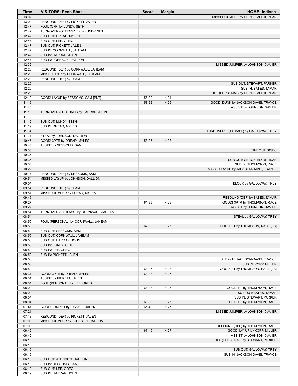| Time           | <b>VISITORS: Penn State</b>                            | <b>Score</b>   | <b>Margin</b> | <b>HOME: Indiana</b>                  |
|----------------|--------------------------------------------------------|----------------|---------------|---------------------------------------|
| 13:07          |                                                        |                |               | MISSED JUMPER by GERONIMO, JORDAN     |
| 13:04          | REBOUND (DEF) by PICKETT, JALEN                        |                |               |                                       |
| 12:47          | FOUL (OFF) by LUNDY, SETH                              |                |               |                                       |
| 12:47          | TURNOVER (OFFENSIVE) by LUNDY, SETH                    |                |               |                                       |
| 12:47          | SUB OUT: DREAD, MYLES                                  |                |               |                                       |
| 12:47          | SUB OUT: LEE, GREG                                     |                |               |                                       |
| 12:47          | SUB OUT: PICKETT, JALEN                                |                |               |                                       |
| 12:47          | SUB IN: CORNWALL, JAHEAM                               |                |               |                                       |
| 12:47          | SUB IN: HARRAR, JOHN                                   |                |               |                                       |
| 12:47          | SUB IN: JOHNSON, DALLION                               |                |               |                                       |
| 12:32          |                                                        |                |               | MISSED JUMPER by JOHNSON, XAVIER      |
| 12:28          | REBOUND (DEF) by CORNWALL, JAHEAM                      |                |               |                                       |
| 12:20          | MISSED 3PTR by CORNWALL, JAHEAM                        |                |               |                                       |
| 12:20          | REBOUND (OFF) by TEAM                                  |                |               |                                       |
| 12:20          |                                                        |                |               | SUB OUT: STEWART, PARKER              |
| 12:20          |                                                        |                |               | SUB IN: BATES, TAMAR                  |
| 12:20          |                                                        |                |               | FOUL (PERSONAL) by GERONIMO, JORDAN   |
| 12:10<br>11:45 | GOOD! LAYUP by SESSOMS, SAM [PNT]                      | 56-32<br>58-32 | H 24<br>H 26  |                                       |
| 11:45          |                                                        |                |               | GOOD! DUNK by JACKSON-DAVIS, TRAYCE   |
| 11:19          |                                                        |                |               | ASSIST by JOHNSON, XAVIER             |
| 11:19          | TURNOVER (LOSTBALL) by HARRAR, JOHN                    |                |               |                                       |
| 11:19          | SUB OUT: LUNDY, SETH                                   |                |               |                                       |
| 11:19          | SUB IN: DREAD, MYLES                                   |                |               |                                       |
| 11:04          |                                                        |                |               | TURNOVER (LOSTBALL) by GALLOWAY, TREY |
| 11:04          | STEAL by JOHNSON, DALLION                              |                |               |                                       |
| 10:45          | GOOD! 3PTR by DREAD, MYLES                             | 58-35          | H 23          |                                       |
| 10:45          | ASSIST by SESSOMS, SAM                                 |                |               |                                       |
| 10:35          |                                                        |                |               | TIMEOUT 30SEC                         |
| 10:35          |                                                        |                |               |                                       |
| 10:35          |                                                        |                |               | SUB OUT: GERONIMO, JORDAN             |
| 10:35          |                                                        |                |               | SUB IN: THOMPSON, RACE                |
| 10:22          |                                                        |                |               | MISSED LAYUP by JACKSON-DAVIS, TRAYCE |
| 10:17          | REBOUND (DEF) by SESSOMS, SAM                          |                |               |                                       |
| 09:54          | MISSED LAYUP by JOHNSON, DALLION                       |                |               |                                       |
| 09:54          |                                                        |                |               | BLOCK by GALLOWAY, TREY               |
| 09:54          | REBOUND (OFF) by TEAM                                  |                |               |                                       |
| 09:51          | MISSED JUMPER by DREAD, MYLES                          |                |               |                                       |
| 09:46          |                                                        |                |               | REBOUND (DEF) by BATES, TAMAR         |
| 09:27          |                                                        | 61-35          | H 26          | GOOD! 3PTR by THOMPSON, RACE          |
| 09:27          |                                                        |                |               | ASSIST by JOHNSON, XAVIER             |
| 08:54          | TURNOVER (BADPASS) by CORNWALL, JAHEAM                 |                |               |                                       |
| 08:54          |                                                        |                |               | STEAL by GALLOWAY, TREY               |
| 08:50          | FOUL (PERSONAL) by CORNWALL, JAHEAM                    |                |               |                                       |
| 08:50          |                                                        | 62-35          | H 27          | GOOD! FT by THOMPSON, RACE [FB]       |
| 08:50          | SUB OUT: SESSOMS, SAM                                  |                |               |                                       |
| 08:50          | SUB OUT: CORNWALL, JAHEAM                              |                |               |                                       |
| 08:50          | SUB OUT: HARRAR, JOHN                                  |                |               |                                       |
| 08:50          | SUB IN: LUNDY, SETH                                    |                |               |                                       |
| 08:50          | SUB IN: LEE, GREG                                      |                |               |                                       |
| 08:50          | SUB IN: PICKETT, JALEN                                 |                |               |                                       |
| 08:50          |                                                        |                |               | SUB OUT: JACKSON-DAVIS, TRAYCE        |
| 08:50          |                                                        |                |               | SUB IN: KOPP, MILLER                  |
| 08:50          |                                                        | 63-35          | H 28          | GOOD! FT by THOMPSON, RACE [FB]       |
| 08:31<br>08:31 | GOOD! 3PTR by DREAD, MYLES<br>ASSIST by PICKETT, JALEN | 63-38          | H 25          |                                       |
| 08:04          | FOUL (PERSONAL) by LEE, GREG                           |                |               |                                       |
| 08:04          |                                                        | 64-38          | H 26          | GOOD! FT by THOMPSON, RACE            |
| 08:04          |                                                        |                |               | SUB OUT: BATES, TAMAR                 |
| 08:04          |                                                        |                |               | SUB IN: STEWART, PARKER               |
| 08:04          |                                                        | 65-38          | H 27          | GOOD! FT by THOMPSON, RACE            |
| 07:47          | GOOD! JUMPER by PICKETT, JALEN                         | 65-40          | H 25          |                                       |
| 07:21          |                                                        |                |               | MISSED JUMPER by JOHNSON, XAVIER      |
| 07:18          | REBOUND (DEF) by PICKETT, JALEN                        |                |               |                                       |
| 07:06          | MISSED JUMPER by JOHNSON, DALLION                      |                |               |                                       |
| 07:03          |                                                        |                |               | REBOUND (DEF) by THOMPSON, RACE       |
| 06:42          |                                                        | 67-40          | H 27          | GOOD! LAYUP by KOPP, MILLER           |
| 06:42          |                                                        |                |               | ASSIST by JOHNSON, XAVIER             |
| 06:19          |                                                        |                |               | FOUL (PERSONAL) by STEWART, PARKER    |
| 06:19          |                                                        |                |               |                                       |
| 06:19          |                                                        |                |               | SUB OUT: GALLOWAY, TREY               |
| 06:19          |                                                        |                |               | SUB IN: JACKSON-DAVIS, TRAYCE         |
| 06:19          | SUB OUT: JOHNSON, DALLION                              |                |               |                                       |
| 06:19          | SUB IN: SESSOMS, SAM                                   |                |               |                                       |
| 06:19          | SUB OUT: LEE, GREG                                     |                |               |                                       |
| 06:19          | SUB IN: HARRAR, JOHN                                   |                |               |                                       |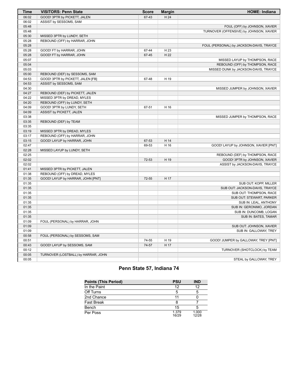| Time  | <b>VISITORS: Penn State</b>         | <b>Score</b> | <b>Margin</b> | <b>HOME: Indiana</b>                     |
|-------|-------------------------------------|--------------|---------------|------------------------------------------|
| 06:02 | GOOD! 3PTR by PICKETT, JALEN        | 67-43        | H 24          |                                          |
| 06:02 | ASSIST by SESSOMS, SAM              |              |               |                                          |
| 05:48 |                                     |              |               | FOUL (OFF) by JOHNSON, XAVIER            |
| 05:48 |                                     |              |               | TURNOVER (OFFENSIVE) by JOHNSON, XAVIER  |
| 05:30 | MISSED 3PTR by LUNDY, SETH          |              |               |                                          |
| 05:28 | REBOUND (OFF) by HARRAR, JOHN       |              |               |                                          |
| 05:28 |                                     |              |               | FOUL (PERSONAL) by JACKSON-DAVIS, TRAYCE |
| 05:28 | GOOD! FT by HARRAR, JOHN            | 67-44        | H 23          |                                          |
| 05:28 | GOOD! FT by HARRAR, JOHN            | 67-45        | H 22          |                                          |
| 05:07 |                                     |              |               | MISSED LAYUP by THOMPSON, RACE           |
| 05:04 |                                     |              |               | REBOUND (OFF) by THOMPSON, RACE          |
| 05:03 |                                     |              |               | MISSED DUNK by JACKSON-DAVIS, TRAYCE     |
| 05:00 | REBOUND (DEF) by SESSOMS, SAM       |              |               |                                          |
| 04:53 | GOOD! 3PTR by PICKETT, JALEN [FB]   | 67-48        | H 19          |                                          |
| 04:53 | ASSIST by SESSOMS, SAM              |              |               |                                          |
| 04:30 |                                     |              |               | MISSED JUMPER by JOHNSON, XAVIER         |
| 04:27 | REBOUND (DEF) by PICKETT, JALEN     |              |               |                                          |
| 04:22 | MISSED 3PTR by DREAD, MYLES         |              |               |                                          |
| 04:20 | REBOUND (OFF) by LUNDY, SETH        |              |               |                                          |
| 04:09 | GOOD! 3PTR by LUNDY, SETH           | 67-51        | H 16          |                                          |
| 04:09 | ASSIST by PICKETT, JALEN            |              |               |                                          |
| 03:38 |                                     |              |               | MISSED JUMPER by THOMPSON, RACE          |
| 03:35 | REBOUND (DEF) by TEAM               |              |               |                                          |
| 03:35 |                                     |              |               |                                          |
| 03:19 | MISSED 3PTR by DREAD, MYLES         |              |               |                                          |
| 03:17 | REBOUND (OFF) by HARRAR, JOHN       |              |               |                                          |
| 03:15 | GOOD! LAYUP by HARRAR, JOHN         | 67-53        | H 14          |                                          |
| 02:47 |                                     | 69-53        | H 16          | GOOD! LAYUP by JOHNSON, XAVIER [PNT]     |
| 02:28 | MISSED LAYUP by LUNDY, SETH         |              |               |                                          |
| 02:25 |                                     |              |               | REBOUND (DEF) by THOMPSON, RACE          |
| 02:02 |                                     | 72-53        | H 19          | GOOD! 3PTR by JOHNSON, XAVIER            |
| 02:02 |                                     |              |               |                                          |
| 01:41 | MISSED 3PTR by PICKETT, JALEN       |              |               | ASSIST by JACKSON-DAVIS, TRAYCE          |
| 01:38 | REBOUND (OFF) by DREAD, MYLES       |              |               |                                          |
| 01:35 | GOOD! LAYUP by HARRAR, JOHN [PNT]   | 72-55        | H 17          |                                          |
| 01:35 |                                     |              |               | SUB OUT: KOPP, MILLER                    |
| 01:35 |                                     |              |               | SUB OUT: JACKSON-DAVIS, TRAYCE           |
| 01:35 |                                     |              |               | SUB OUT: THOMPSON, RACE                  |
|       |                                     |              |               |                                          |
| 01:35 |                                     |              |               | SUB OUT: STEWART, PARKER                 |
| 01:35 |                                     |              |               | SUB IN: LEAL, ANTHONY                    |
| 01:35 |                                     |              |               | SUB IN: GERONIMO, JORDAN                 |
| 01:35 |                                     |              |               | SUB IN: DUNCOMB, LOGAN                   |
| 01:35 |                                     |              |               | SUB IN: BATES, TAMAR                     |
| 01:09 | FOUL (PERSONAL) by HARRAR, JOHN     |              |               |                                          |
| 01:09 |                                     |              |               | SUB OUT: JOHNSON, XAVIER                 |
| 01:09 |                                     |              |               | SUB IN: GALLOWAY, TREY                   |
| 00:58 | FOUL (PERSONAL) by SESSOMS, SAM     |              |               |                                          |
| 00:51 |                                     | 74-55        | H 19          | GOOD! JUMPER by GALLOWAY, TREY [PNT]     |
| 00:43 | GOOD! LAYUP by SESSOMS, SAM         | 74-57        | H 17          |                                          |
| 00:12 |                                     |              |               | TURNOVER (SHOTCLOCK) by TEAM             |
| 00:05 | TURNOVER (LOSTBALL) by HARRAR, JOHN |              |               |                                          |
| 00:05 |                                     |              |               | STEAL by GALLOWAY, TREY                  |

# **Penn State 57, Indiana 74**

| <b>Points (This Period)</b> | <b>PSU</b>     | <b>IND</b>     |
|-----------------------------|----------------|----------------|
| In the Paint                | 12             | 12             |
| Off Turns                   | 5              | 5              |
| 2nd Chance                  | 11             |                |
| <b>Fast Break</b>           | 8              |                |
| Bench                       | 15             | 5              |
| Per Poss                    | 1.379<br>16/29 | 1.000<br>12/28 |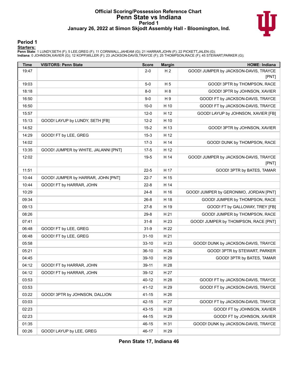### **Official Scoring/Possession Reference Chart Penn State vs Indiana Period 1 January 26, 2022 at Simon Skjodt Assembly Hall - Bloomington, Ind.**



#### **Period 1**

<mark>Starters:</mark><br>Penn State: 1 LUNDY,SETH (F); 5 LEE,GREG (F); 11 CORNWALL,JAHEAM (G); 21 HARRAR,JOHN (F); 22 PICKETT,JALEN (G);<br>Indiana: 0 JOHNSON,XAVIER (G); 12 KOPP,MILLER (F); 23 JACKSON-DAVIS,TRAYCE (F); 25 THOMPSON,RACE (

| <b>Time</b> | <b>VISITORS: Penn State</b>          | <b>Score</b> | <b>Margin</b>  | <b>HOME: Indiana</b>                   |
|-------------|--------------------------------------|--------------|----------------|----------------------------------------|
| 19:47       |                                      | $2 - 0$      | H <sub>2</sub> | GOOD! JUMPER by JACKSON-DAVIS, TRAYCE  |
|             |                                      |              |                | [PNT]                                  |
| 19:03       |                                      | $5-0$        | H <sub>5</sub> | GOOD! 3PTR by THOMPSON, RACE           |
| 18:18       |                                      | $8-0$        | H <sub>8</sub> | GOOD! 3PTR by JOHNSON, XAVIER          |
| 16:50       |                                      | $9-0$        | H 9            | GOOD! FT by JACKSON-DAVIS, TRAYCE      |
| 16:50       |                                      | $10-0$       | H 10           | GOOD! FT by JACKSON-DAVIS, TRAYCE      |
| 15:57       |                                      | $12-0$       | H 12           | GOOD! LAYUP by JOHNSON, XAVIER [FB]    |
| 15:13       | GOOD! LAYUP by LUNDY, SETH [FB]      | $12 - 2$     | H 10           |                                        |
| 14:52       |                                      | $15 - 2$     | H 13           | GOOD! 3PTR by JOHNSON, XAVIER          |
| 14:29       | GOOD! FT by LEE, GREG                | $15-3$       | H 12           |                                        |
| 14:02       |                                      | $17-3$       | H 14           | GOOD! DUNK by THOMPSON, RACE           |
| 13:35       | GOOD! JUMPER by WHITE, JALANNI [PNT] | $17 - 5$     | H 12           |                                        |
| 12:02       |                                      | 19-5         | H 14           | GOOD! JUMPER by JACKSON-DAVIS, TRAYCE  |
|             |                                      |              |                | [PNT]                                  |
| 11:51       |                                      | $22 - 5$     | H 17           | GOOD! 3PTR by BATES, TAMAR             |
| 10:44       | GOOD! JUMPER by HARRAR, JOHN [PNT]   | 22-7         | H 15           |                                        |
| 10:44       | GOOD! FT by HARRAR, JOHN             | $22 - 8$     | H 14           |                                        |
| 10:29       |                                      | $24 - 8$     | H 16           | GOOD! JUMPER by GERONIMO, JORDAN [PNT] |
| 09:34       |                                      | $26 - 8$     | H 18           | GOOD! JUMPER by THOMPSON, RACE         |
| 09:13       |                                      | $27-8$       | H 19           | GOOD! FT by GALLOWAY, TREY [FB]        |
| 08:26       |                                      | $29 - 8$     | H 21           | GOOD! JUMPER by THOMPSON, RACE         |
| 07:41       |                                      | $31 - 8$     | H 23           | GOOD! JUMPER by THOMPSON, RACE [PNT]   |
| 06:48       | GOOD! FT by LEE, GREG                | $31 - 9$     | H 22           |                                        |
| 06:48       | GOOD! FT by LEE, GREG                | $31 - 10$    | H 21           |                                        |
| 05:58       |                                      | $33-10$      | H 23           | GOOD! DUNK by JACKSON-DAVIS, TRAYCE    |
| 05:21       |                                      | $36-10$      | H 26           | GOOD! 3PTR by STEWART, PARKER          |
| 04:45       |                                      | 39-10        | H 29           | GOOD! 3PTR by BATES, TAMAR             |
| 04:12       | GOOD! FT by HARRAR, JOHN             | $39-11$      | H 28           |                                        |
| 04:12       | GOOD! FT by HARRAR, JOHN             | 39-12        | H 27           |                                        |
| 03:53       |                                      | 40-12        | H 28           | GOOD! FT by JACKSON-DAVIS, TRAYCE      |
| 03:53       |                                      | 41-12        | H 29           | GOOD! FT by JACKSON-DAVIS, TRAYCE      |
| 03:22       | GOOD! 3PTR by JOHNSON, DALLION       | $41 - 15$    | H 26           |                                        |
| 03:03       |                                      | 42-15        | H 27           | GOOD! FT by JACKSON-DAVIS, TRAYCE      |
| 02:23       |                                      | 43-15        | H 28           | GOOD! FT by JOHNSON, XAVIER            |
| 02:23       |                                      | 44-15        | H 29           | GOOD! FT by JOHNSON, XAVIER            |
| 01:35       |                                      | 46-15        | H 31           | GOOD! DUNK by JACKSON-DAVIS, TRAYCE    |
| 00:26       | GOOD! LAYUP by LEE, GREG             | 46-17        | H 29           |                                        |

**Penn State 17, Indiana 46**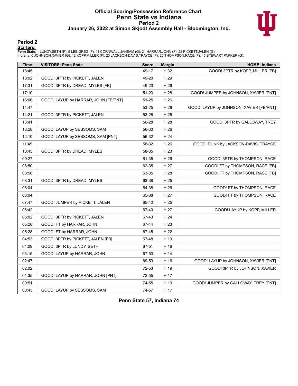### **Official Scoring/Possession Reference Chart Penn State vs Indiana Period 2 January 26, 2022 at Simon Skjodt Assembly Hall - Bloomington, Ind.**



#### **Period 2**

<mark>Starters:</mark><br>Penn State: 1 LUNDY,SETH (F); 5 LEE,GREG (F); 11 CORNWALL,JAHEAM (G); 21 HARRAR,JOHN (F); 22 PICKETT,JALEN (G);<br>Indiana: 0 JOHNSON,XAVIER (G); 12 KOPP,MILLER (F); 23 JACKSON-DAVIS,TRAYCE (F); 25 THOMPSON,RACE (

| <b>Time</b> | <b>VISITORS: Penn State</b>          | <b>Score</b> | <b>Margin</b> | <b>HOME: Indiana</b>                    |
|-------------|--------------------------------------|--------------|---------------|-----------------------------------------|
| 18:45       |                                      | 49-17        | H 32          | GOOD! 3PTR by KOPP, MILLER [FB]         |
| 18:02       | GOOD! 3PTR by PICKETT, JALEN         | 49-20        | H 29          |                                         |
| 17:31       | GOOD! 3PTR by DREAD, MYLES [FB]      | 49-23        | H 26          |                                         |
| 17:10       |                                      | 51-23        | H 28          | GOOD! JUMPER by JOHNSON, XAVIER [PNT]   |
| 16:06       | GOOD! LAYUP by HARRAR, JOHN [FB/PNT] | 51-25        | H 26          |                                         |
| 14:47       |                                      | 53-25        | H 28          | GOOD! LAYUP by JOHNSON, XAVIER [FB/PNT] |
| 14:21       | GOOD! 3PTR by PICKETT, JALEN         | 53-28        | H 25          |                                         |
| 13:41       |                                      | 56-28        | H 28          | GOOD! 3PTR by GALLOWAY, TREY            |
| 13:28       | GOOD! LAYUP by SESSOMS, SAM          | 56-30        | H 26          |                                         |
| 12:10       | GOOD! LAYUP by SESSOMS, SAM [PNT]    | 56-32        | H 24          |                                         |
| 11:45       |                                      | 58-32        | H 26          | GOOD! DUNK by JACKSON-DAVIS, TRAYCE     |
| 10:45       | GOOD! 3PTR by DREAD, MYLES           | 58-35        | H 23          |                                         |
| 09:27       |                                      | 61-35        | H 26          | GOOD! 3PTR by THOMPSON, RACE            |
| 08:50       |                                      | 62-35        | H 27          | GOOD! FT by THOMPSON, RACE [FB]         |
| 08:50       |                                      | 63-35        | H 28          | GOOD! FT by THOMPSON, RACE [FB]         |
| 08:31       | GOOD! 3PTR by DREAD, MYLES           | 63-38        | H 25          |                                         |
| 08:04       |                                      | 64-38        | H 26          | GOOD! FT by THOMPSON, RACE              |
| 08:04       |                                      | 65-38        | H 27          | GOOD! FT by THOMPSON, RACE              |
| 07:47       | GOOD! JUMPER by PICKETT, JALEN       | 65-40        | H 25          |                                         |
| 06:42       |                                      | 67-40        | H 27          | GOOD! LAYUP by KOPP, MILLER             |
| 06:02       | GOOD! 3PTR by PICKETT, JALEN         | 67-43        | H 24          |                                         |
| 05:28       | GOOD! FT by HARRAR, JOHN             | 67-44        | H 23          |                                         |
| 05:28       | GOOD! FT by HARRAR, JOHN             | 67-45        | H 22          |                                         |
| 04:53       | GOOD! 3PTR by PICKETT, JALEN [FB]    | 67-48        | H 19          |                                         |
| 04:09       | GOOD! 3PTR by LUNDY, SETH            | 67-51        | H 16          |                                         |
| 03:15       | GOOD! LAYUP by HARRAR, JOHN          | 67-53        | H 14          |                                         |
| 02:47       |                                      | 69-53        | H 16          | GOOD! LAYUP by JOHNSON, XAVIER [PNT]    |
| 02:02       |                                      | 72-53        | H 19          | GOOD! 3PTR by JOHNSON, XAVIER           |
| 01:35       | GOOD! LAYUP by HARRAR, JOHN [PNT]    | 72-55        | H 17          |                                         |
| 00:51       |                                      | 74-55        | H 19          | GOOD! JUMPER by GALLOWAY, TREY [PNT]    |
| 00:43       | GOOD! LAYUP by SESSOMS, SAM          | 74-57        | H 17          |                                         |

**Penn State 57, Indiana 74**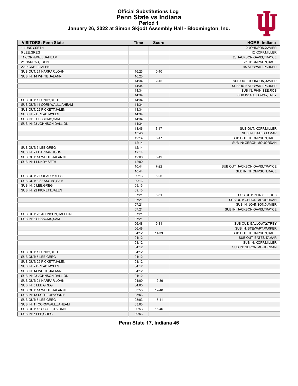#### **Official Substitutions Log Penn State vs Indiana Period 1 January 26, 2022 at Simon Skjodt Assembly Hall - Bloomington, Ind.**



| <b>VISITORS: Penn State</b>  | <b>Time</b> | <b>Score</b> | <b>HOME: Indiana</b>           |
|------------------------------|-------------|--------------|--------------------------------|
| 1 LUNDY, SETH                |             |              | 0 JOHNSON, XAVIER              |
| 5 LEE.GREG                   |             |              | 12 KOPP, MILLER                |
| 11 CORNWALL, JAHEAM          |             |              | 23 JACKSON-DAVIS, TRAYCE       |
| 21 HARRAR, JOHN              |             |              | 25 THOMPSON, RACE              |
| 22 PICKETT, JALEN            |             |              | 45 STEWART, PARKER             |
| SUB OUT: 21 HARRAR, JOHN     | 16:23       | $0 - 10$     |                                |
| SUB IN: 14 WHITE, JALANNI    | 16:23       |              |                                |
|                              | 14:34       | $2 - 15$     | SUB OUT: JOHNSON, XAVIER       |
|                              | 14:34       |              | SUB OUT: STEWART, PARKER       |
|                              | 14:34       |              | SUB IN: PHINISEE, ROB          |
|                              | 14:34       |              | SUB IN: GALLOWAY, TREY         |
| SUB OUT: 1 LUNDY, SETH       | 14:34       |              |                                |
| SUB OUT: 11 CORNWALL, JAHEAM | 14:34       |              |                                |
| SUB OUT: 22 PICKETT, JALEN   | 14:34       |              |                                |
| SUB IN: 2 DREAD, MYLES       | 14:34       |              |                                |
| SUB IN: 3 SESSOMS, SAM       | 14:34       |              |                                |
| SUB IN: 23 JOHNSON, DALLION  | 14:34       |              |                                |
|                              | 13:46       | $3 - 17$     | SUB OUT: KOPP, MILLER          |
|                              | 13:46       |              | SUB IN: BATES, TAMAR           |
|                              | 12:14       | $5 - 17$     | SUB OUT: THOMPSON, RACE        |
|                              | 12:14       |              | SUB IN: GERONIMO, JORDAN       |
| SUB OUT: 5 LEE, GREG         | 12:14       |              |                                |
| SUB IN: 21 HARRAR, JOHN      | 12:14       |              |                                |
| SUB OUT: 14 WHITE, JALANNI   | 12:00       | $5 - 19$     |                                |
| SUB IN: 1 LUNDY, SETH        | 12:00       |              |                                |
|                              | 10:44       | $7 - 22$     | SUB OUT: JACKSON-DAVIS, TRAYCE |
|                              | 10:44       |              | SUB IN: THOMPSON, RACE         |
| SUB OUT: 2 DREAD, MYLES      | 09:13       | $8 - 26$     |                                |
| SUB OUT: 3 SESSOMS, SAM      | 09:13       |              |                                |
| SUB IN: 5 LEE, GREG          | 09:13       |              |                                |
| SUB IN: 22 PICKETT, JALEN    | 09:13       |              |                                |
|                              | 07:21       | $8 - 31$     | SUB OUT: PHINISEE, ROB         |
|                              | 07:21       |              | SUB OUT: GERONIMO, JORDAN      |
|                              | 07:21       |              | SUB IN: JOHNSON, XAVIER        |
|                              | 07:21       |              | SUB IN: JACKSON-DAVIS, TRAYCE  |
| SUB OUT: 23 JOHNSON, DALLION | 07:21       |              |                                |
| SUB IN: 3 SESSOMS, SAM       | 07:21       |              |                                |
|                              | 06:48       | $9 - 31$     | SUB OUT: GALLOWAY, TREY        |
|                              | 06:48       |              | SUB IN: STEWART, PARKER        |
|                              | 04:12       | 11-39        | SUB OUT: THOMPSON, RACE        |
|                              | 04:12       |              | <b>SUB OUT: BATES, TAMAR</b>   |
|                              | 04:12       |              | SUB IN: KOPP, MILLER           |
|                              | 04:12       |              | SUB IN: GERONIMO, JORDAN       |
| SUB OUT: 1 LUNDY, SETH       | 04:12       |              |                                |
| SUB OUT: 5 LEE.GREG          | 04:12       |              |                                |
| SUB OUT: 22 PICKETT, JALEN   | 04:12       |              |                                |
| SUB IN: 2 DREAD, MYLES       | 04:12       |              |                                |
| SUB IN: 14 WHITE, JALANNI    | 04:12       |              |                                |
| SUB IN: 23 JOHNSON, DALLION  | 04:12       |              |                                |
| SUB OUT: 21 HARRAR, JOHN     | 04:00       | 12-39        |                                |
| SUB IN: 5 LEE, GREG          | 04:00       |              |                                |
| SUB OUT: 14 WHITE, JALANNI   | 03:53       | 12-40        |                                |
| SUB IN: 13 SCOTT, JEVONNIE   | 03:53       |              |                                |
| SUB OUT: 5 LEE, GREG         | 03:03       | 15-41        |                                |
| SUB IN: 11 CORNWALL, JAHEAM  | 03:03       |              |                                |
| SUB OUT: 13 SCOTT, JEVONNIE  | 00:53       | 15-46        |                                |
| SUB IN: 5 LEE, GREG          | 00:53       |              |                                |

**Penn State 17, Indiana 46**